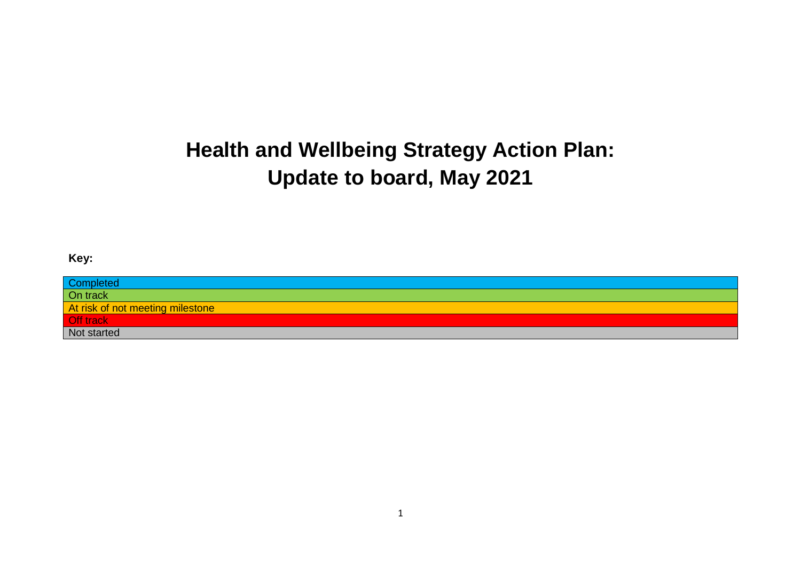# **Health and Wellbeing Strategy Action Plan: Update to board, May 2021**

### **Key:**

| Completed<br>On track            |
|----------------------------------|
|                                  |
| At risk of not meeting milestone |
| Off track<br>Not started         |
|                                  |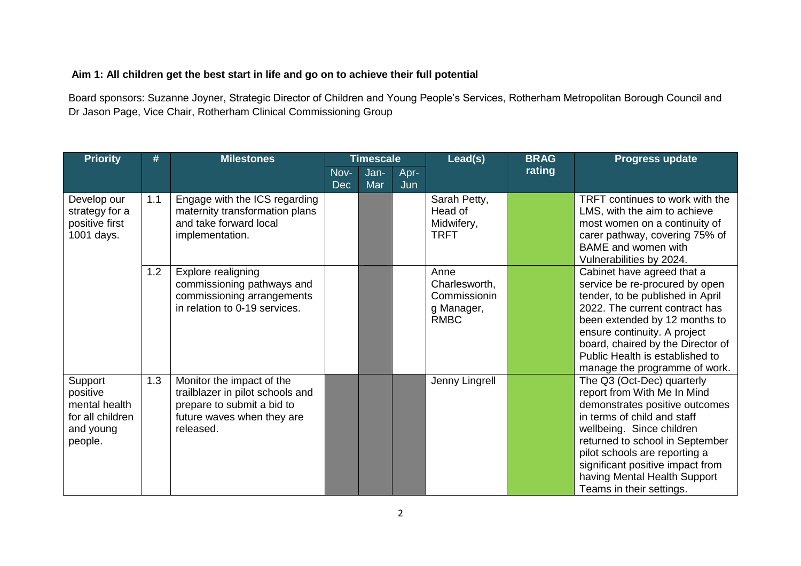#### **Aim 1: All children get the best start in life and go on to achieve their full potential**

Board sponsors: Suzanne Joyner, Strategic Director of Children and Young People's Services, Rotherham Metropolitan Borough Council and Dr Jason Page, Vice Chair, Rotherham Clinical Commissioning Group

| <b>Priority</b>                                                                  | #   | <b>Milestones</b>                                                                                                                      |                    | <b>Timescale</b> |             | Lead(s)                                                            | <b>BRAG</b> | <b>Progress update</b>                                                                                                                                                                                                                                                                                                      |
|----------------------------------------------------------------------------------|-----|----------------------------------------------------------------------------------------------------------------------------------------|--------------------|------------------|-------------|--------------------------------------------------------------------|-------------|-----------------------------------------------------------------------------------------------------------------------------------------------------------------------------------------------------------------------------------------------------------------------------------------------------------------------------|
|                                                                                  |     |                                                                                                                                        | Nov-<br><b>Dec</b> | Jan-<br>Mar      | Apr-<br>Jun |                                                                    | rating      |                                                                                                                                                                                                                                                                                                                             |
| Develop our<br>strategy for a<br>positive first<br>1001 days.                    | 1.1 | Engage with the ICS regarding<br>maternity transformation plans<br>and take forward local<br>implementation.                           |                    |                  |             | Sarah Petty,<br>Head of<br>Midwifery,<br><b>TRFT</b>               |             | TRFT continues to work with the<br>LMS, with the aim to achieve<br>most women on a continuity of<br>carer pathway, covering 75% of<br><b>BAME</b> and women with<br>Vulnerabilities by 2024.                                                                                                                                |
|                                                                                  | 1.2 | Explore realigning<br>commissioning pathways and<br>commissioning arrangements<br>in relation to 0-19 services.                        |                    |                  |             | Anne<br>Charlesworth,<br>Commissionin<br>g Manager,<br><b>RMBC</b> |             | Cabinet have agreed that a<br>service be re-procured by open<br>tender, to be published in April<br>2022. The current contract has<br>been extended by 12 months to<br>ensure continuity. A project<br>board, chaired by the Director of<br>Public Health is established to<br>manage the programme of work.                |
| Support<br>positive<br>mental health<br>for all children<br>and young<br>people. | 1.3 | Monitor the impact of the<br>trailblazer in pilot schools and<br>prepare to submit a bid to<br>future waves when they are<br>released. |                    |                  |             | Jenny Lingrell                                                     |             | The Q3 (Oct-Dec) quarterly<br>report from With Me In Mind<br>demonstrates positive outcomes<br>in terms of child and staff<br>wellbeing. Since children<br>returned to school in September<br>pilot schools are reporting a<br>significant positive impact from<br>having Mental Health Support<br>Teams in their settings. |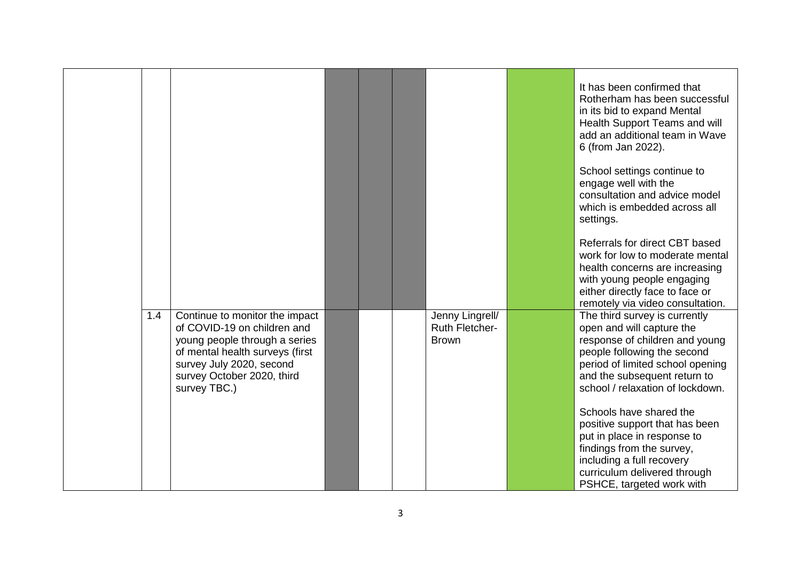|     |                                                                                                                                                                                                             |  |                                                          | It has been confirmed that<br>Rotherham has been successful<br>in its bid to expand Mental<br>Health Support Teams and will<br>add an additional team in Wave<br>6 (from Jan 2022).                                                 |
|-----|-------------------------------------------------------------------------------------------------------------------------------------------------------------------------------------------------------------|--|----------------------------------------------------------|-------------------------------------------------------------------------------------------------------------------------------------------------------------------------------------------------------------------------------------|
|     |                                                                                                                                                                                                             |  |                                                          | School settings continue to<br>engage well with the<br>consultation and advice model<br>which is embedded across all<br>settings.                                                                                                   |
|     |                                                                                                                                                                                                             |  |                                                          | Referrals for direct CBT based<br>work for low to moderate mental<br>health concerns are increasing<br>with young people engaging<br>either directly face to face or<br>remotely via video consultation.                            |
| 1.4 | Continue to monitor the impact<br>of COVID-19 on children and<br>young people through a series<br>of mental health surveys (first<br>survey July 2020, second<br>survey October 2020, third<br>survey TBC.) |  | Jenny Lingrell/<br><b>Ruth Fletcher-</b><br><b>Brown</b> | The third survey is currently<br>open and will capture the<br>response of children and young<br>people following the second<br>period of limited school opening<br>and the subsequent return to<br>school / relaxation of lockdown. |
|     |                                                                                                                                                                                                             |  |                                                          | Schools have shared the<br>positive support that has been<br>put in place in response to<br>findings from the survey,<br>including a full recovery<br>curriculum delivered through<br>PSHCE, targeted work with                     |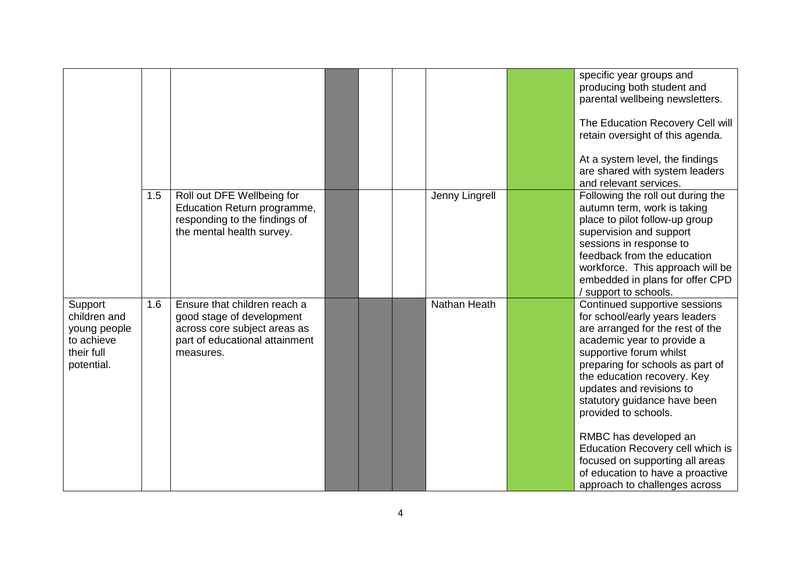|                                                                                   |     |                                                                                                                                          |  |                | specific year groups and<br>producing both student and<br>parental wellbeing newsletters.<br>The Education Recovery Cell will<br>retain oversight of this agenda.                                                                                                                                                                                                                                                                                                                        |
|-----------------------------------------------------------------------------------|-----|------------------------------------------------------------------------------------------------------------------------------------------|--|----------------|------------------------------------------------------------------------------------------------------------------------------------------------------------------------------------------------------------------------------------------------------------------------------------------------------------------------------------------------------------------------------------------------------------------------------------------------------------------------------------------|
|                                                                                   |     |                                                                                                                                          |  |                | At a system level, the findings<br>are shared with system leaders<br>and relevant services.                                                                                                                                                                                                                                                                                                                                                                                              |
|                                                                                   | 1.5 | Roll out DFE Wellbeing for<br>Education Return programme,<br>responding to the findings of<br>the mental health survey.                  |  | Jenny Lingrell | Following the roll out during the<br>autumn term, work is taking<br>place to pilot follow-up group<br>supervision and support<br>sessions in response to<br>feedback from the education<br>workforce. This approach will be<br>embedded in plans for offer CPD<br>/ support to schools.                                                                                                                                                                                                  |
| Support<br>children and<br>young people<br>to achieve<br>their full<br>potential. | 1.6 | Ensure that children reach a<br>good stage of development<br>across core subject areas as<br>part of educational attainment<br>measures. |  | Nathan Heath   | Continued supportive sessions<br>for school/early years leaders<br>are arranged for the rest of the<br>academic year to provide a<br>supportive forum whilst<br>preparing for schools as part of<br>the education recovery. Key<br>updates and revisions to<br>statutory guidance have been<br>provided to schools.<br>RMBC has developed an<br>Education Recovery cell which is<br>focused on supporting all areas<br>of education to have a proactive<br>approach to challenges across |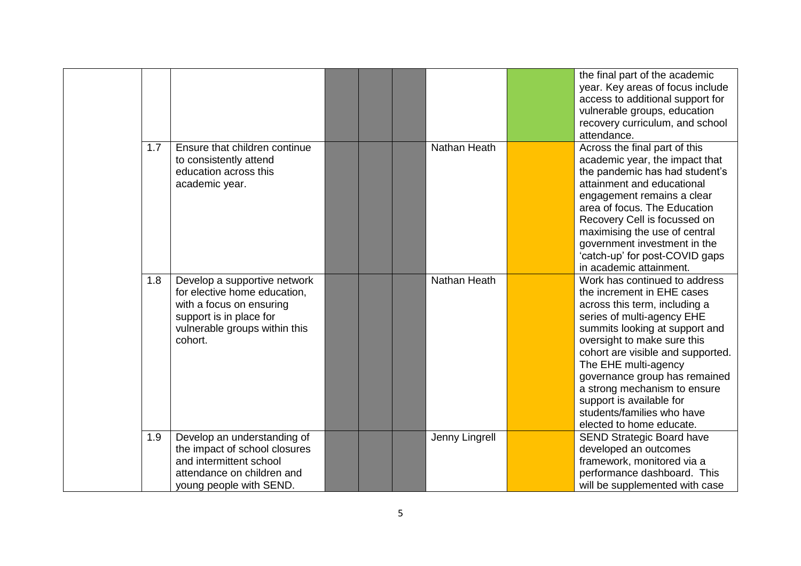|     |                                                                                                                                                                 |  |                | the final part of the academic<br>year. Key areas of focus include<br>access to additional support for<br>vulnerable groups, education<br>recovery curriculum, and school                                                                                                                                                                                                                                       |
|-----|-----------------------------------------------------------------------------------------------------------------------------------------------------------------|--|----------------|-----------------------------------------------------------------------------------------------------------------------------------------------------------------------------------------------------------------------------------------------------------------------------------------------------------------------------------------------------------------------------------------------------------------|
| 1.7 | Ensure that children continue<br>to consistently attend<br>education across this<br>academic year.                                                              |  | Nathan Heath   | attendance.<br>Across the final part of this<br>academic year, the impact that<br>the pandemic has had student's<br>attainment and educational<br>engagement remains a clear<br>area of focus. The Education<br>Recovery Cell is focussed on<br>maximising the use of central<br>government investment in the<br>'catch-up' for post-COVID gaps<br>in academic attainment.                                      |
| 1.8 | Develop a supportive network<br>for elective home education,<br>with a focus on ensuring<br>support is in place for<br>vulnerable groups within this<br>cohort. |  | Nathan Heath   | Work has continued to address<br>the increment in EHE cases<br>across this term, including a<br>series of multi-agency EHE<br>summits looking at support and<br>oversight to make sure this<br>cohort are visible and supported.<br>The EHE multi-agency<br>governance group has remained<br>a strong mechanism to ensure<br>support is available for<br>students/families who have<br>elected to home educate. |
| 1.9 | Develop an understanding of<br>the impact of school closures<br>and intermittent school<br>attendance on children and<br>young people with SEND.                |  | Jenny Lingrell | <b>SEND Strategic Board have</b><br>developed an outcomes<br>framework, monitored via a<br>performance dashboard. This<br>will be supplemented with case                                                                                                                                                                                                                                                        |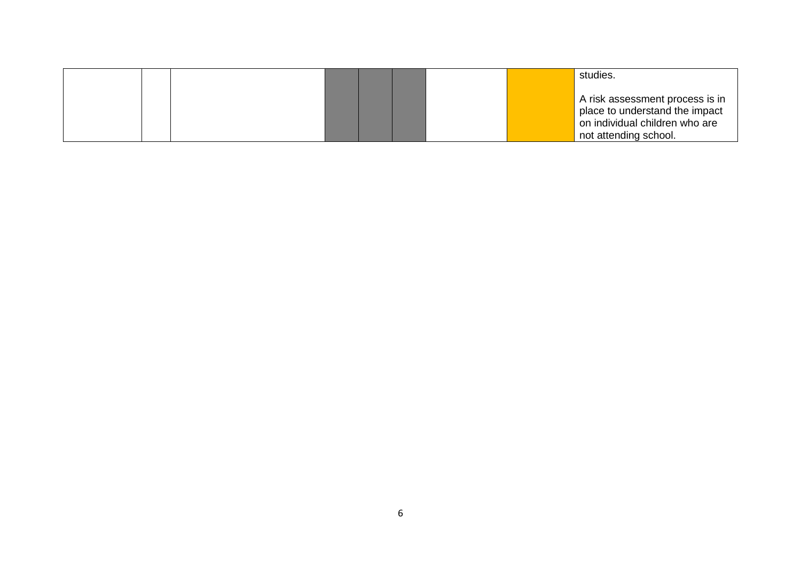|  |  |  |  | studies.                                                                                                                     |
|--|--|--|--|------------------------------------------------------------------------------------------------------------------------------|
|  |  |  |  | A risk assessment process is in<br>place to understand the impact<br>on individual children who are<br>not attending school. |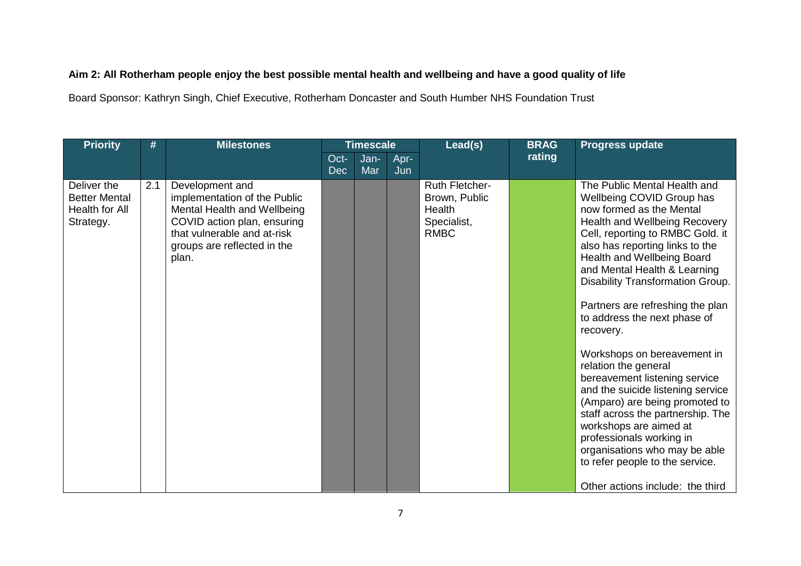## **Aim 2: All Rotherham people enjoy the best possible mental health and wellbeing and have a good quality of life**

Board Sponsor: Kathryn Singh, Chief Executive, Rotherham Doncaster and South Humber NHS Foundation Trust

| <b>Priority</b>                                                    | #   | <b>Milestones</b>                                                                                                                                                                    |                    | <b>Timescale</b> |             | Lead(s)                                                                        | <b>BRAG</b> | <b>Progress update</b>                                                                                                                                                                                                                                                                                                                                                                                                                                                                                                                                                                                                                                                                                                                             |
|--------------------------------------------------------------------|-----|--------------------------------------------------------------------------------------------------------------------------------------------------------------------------------------|--------------------|------------------|-------------|--------------------------------------------------------------------------------|-------------|----------------------------------------------------------------------------------------------------------------------------------------------------------------------------------------------------------------------------------------------------------------------------------------------------------------------------------------------------------------------------------------------------------------------------------------------------------------------------------------------------------------------------------------------------------------------------------------------------------------------------------------------------------------------------------------------------------------------------------------------------|
|                                                                    |     |                                                                                                                                                                                      | Oct-<br><b>Dec</b> | Jan-<br>Mar      | Apr-<br>Jun |                                                                                | rating      |                                                                                                                                                                                                                                                                                                                                                                                                                                                                                                                                                                                                                                                                                                                                                    |
| Deliver the<br><b>Better Mental</b><br>Health for All<br>Strategy. | 2.1 | Development and<br>implementation of the Public<br>Mental Health and Wellbeing<br>COVID action plan, ensuring<br>that vulnerable and at-risk<br>groups are reflected in the<br>plan. |                    |                  |             | <b>Ruth Fletcher-</b><br>Brown, Public<br>Health<br>Specialist,<br><b>RMBC</b> |             | The Public Mental Health and<br>Wellbeing COVID Group has<br>now formed as the Mental<br>Health and Wellbeing Recovery<br>Cell, reporting to RMBC Gold. it<br>also has reporting links to the<br>Health and Wellbeing Board<br>and Mental Health & Learning<br>Disability Transformation Group.<br>Partners are refreshing the plan<br>to address the next phase of<br>recovery.<br>Workshops on bereavement in<br>relation the general<br>bereavement listening service<br>and the suicide listening service<br>(Amparo) are being promoted to<br>staff across the partnership. The<br>workshops are aimed at<br>professionals working in<br>organisations who may be able<br>to refer people to the service.<br>Other actions include: the third |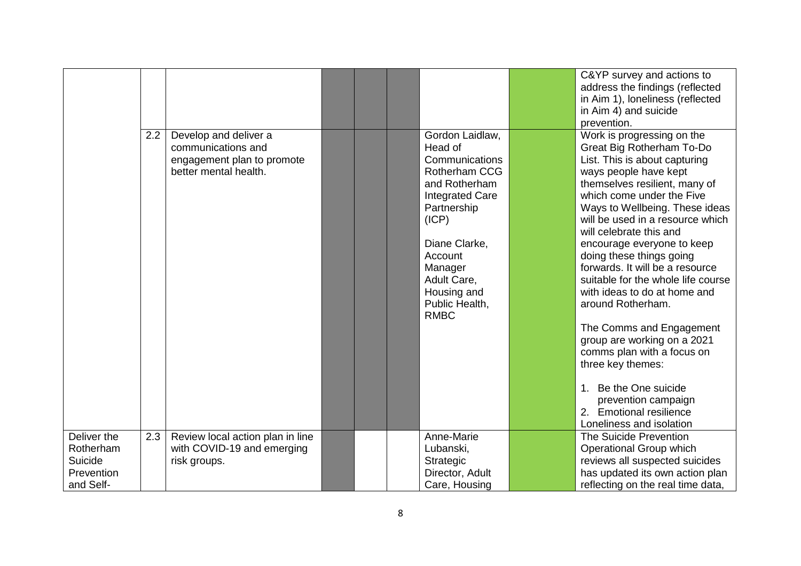|             |     |                                  |  |                               | C&YP survey and actions to         |
|-------------|-----|----------------------------------|--|-------------------------------|------------------------------------|
|             |     |                                  |  |                               | address the findings (reflected    |
|             |     |                                  |  |                               | in Aim 1), loneliness (reflected   |
|             |     |                                  |  |                               | in Aim 4) and suicide              |
|             |     |                                  |  |                               | prevention.                        |
|             | 2.2 | Develop and deliver a            |  | Gordon Laidlaw,               | Work is progressing on the         |
|             |     | communications and               |  | Head of                       | Great Big Rotherham To-Do          |
|             |     | engagement plan to promote       |  | Communications                | List. This is about capturing      |
|             |     | better mental health.            |  | Rotherham CCG                 | ways people have kept              |
|             |     |                                  |  | and Rotherham                 | themselves resilient, many of      |
|             |     |                                  |  | <b>Integrated Care</b>        | which come under the Five          |
|             |     |                                  |  | Partnership                   | Ways to Wellbeing. These ideas     |
|             |     |                                  |  | (ICP)                         | will be used in a resource which   |
|             |     |                                  |  |                               | will celebrate this and            |
|             |     |                                  |  | Diane Clarke,                 | encourage everyone to keep         |
|             |     |                                  |  | Account                       | doing these things going           |
|             |     |                                  |  | Manager                       | forwards. It will be a resource    |
|             |     |                                  |  | Adult Care,                   | suitable for the whole life course |
|             |     |                                  |  | Housing and                   | with ideas to do at home and       |
|             |     |                                  |  | Public Health,<br><b>RMBC</b> | around Rotherham.                  |
|             |     |                                  |  |                               | The Comms and Engagement           |
|             |     |                                  |  |                               | group are working on a 2021        |
|             |     |                                  |  |                               | comms plan with a focus on         |
|             |     |                                  |  |                               | three key themes:                  |
|             |     |                                  |  |                               |                                    |
|             |     |                                  |  |                               | 1. Be the One suicide              |
|             |     |                                  |  |                               | prevention campaign                |
|             |     |                                  |  |                               | 2. Emotional resilience            |
|             |     |                                  |  |                               | Loneliness and isolation           |
| Deliver the | 2.3 | Review local action plan in line |  | Anne-Marie                    | The Suicide Prevention             |
| Rotherham   |     | with COVID-19 and emerging       |  | Lubanski,                     | Operational Group which            |
| Suicide     |     | risk groups.                     |  | Strategic                     | reviews all suspected suicides     |
| Prevention  |     |                                  |  | Director, Adult               | has updated its own action plan    |
| and Self-   |     |                                  |  | Care, Housing                 | reflecting on the real time data,  |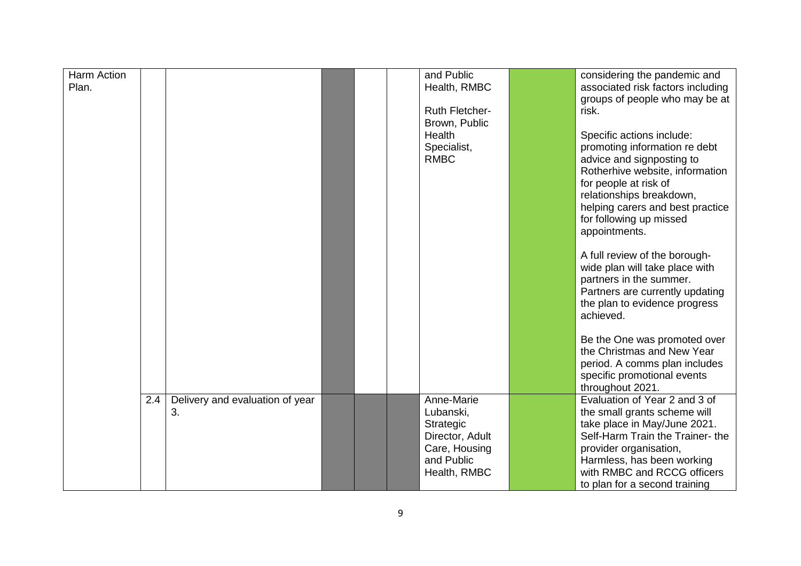| <b>Harm Action</b> |     |                                 |  | and Public            | considering the pandemic and      |
|--------------------|-----|---------------------------------|--|-----------------------|-----------------------------------|
| Plan.              |     |                                 |  | Health, RMBC          | associated risk factors including |
|                    |     |                                 |  |                       |                                   |
|                    |     |                                 |  |                       | groups of people who may be at    |
|                    |     |                                 |  | <b>Ruth Fletcher-</b> | risk.                             |
|                    |     |                                 |  | Brown, Public         |                                   |
|                    |     |                                 |  | <b>Health</b>         | Specific actions include:         |
|                    |     |                                 |  | Specialist,           | promoting information re debt     |
|                    |     |                                 |  | <b>RMBC</b>           | advice and signposting to         |
|                    |     |                                 |  |                       | Rotherhive website, information   |
|                    |     |                                 |  |                       | for people at risk of             |
|                    |     |                                 |  |                       |                                   |
|                    |     |                                 |  |                       | relationships breakdown,          |
|                    |     |                                 |  |                       | helping carers and best practice  |
|                    |     |                                 |  |                       | for following up missed           |
|                    |     |                                 |  |                       | appointments.                     |
|                    |     |                                 |  |                       |                                   |
|                    |     |                                 |  |                       | A full review of the borough-     |
|                    |     |                                 |  |                       | wide plan will take place with    |
|                    |     |                                 |  |                       | partners in the summer.           |
|                    |     |                                 |  |                       | Partners are currently updating   |
|                    |     |                                 |  |                       |                                   |
|                    |     |                                 |  |                       | the plan to evidence progress     |
|                    |     |                                 |  |                       | achieved.                         |
|                    |     |                                 |  |                       |                                   |
|                    |     |                                 |  |                       | Be the One was promoted over      |
|                    |     |                                 |  |                       | the Christmas and New Year        |
|                    |     |                                 |  |                       | period. A comms plan includes     |
|                    |     |                                 |  |                       | specific promotional events       |
|                    |     |                                 |  |                       | throughout 2021.                  |
|                    | 2.4 | Delivery and evaluation of year |  | Anne-Marie            | Evaluation of Year 2 and 3 of     |
|                    |     | 3.                              |  | Lubanski,             | the small grants scheme will      |
|                    |     |                                 |  | Strategic             | take place in May/June 2021.      |
|                    |     |                                 |  | Director, Adult       | Self-Harm Train the Trainer-the   |
|                    |     |                                 |  | Care, Housing         | provider organisation,            |
|                    |     |                                 |  | and Public            |                                   |
|                    |     |                                 |  |                       | Harmless, has been working        |
|                    |     |                                 |  | Health, RMBC          | with RMBC and RCCG officers       |
|                    |     |                                 |  |                       | to plan for a second training     |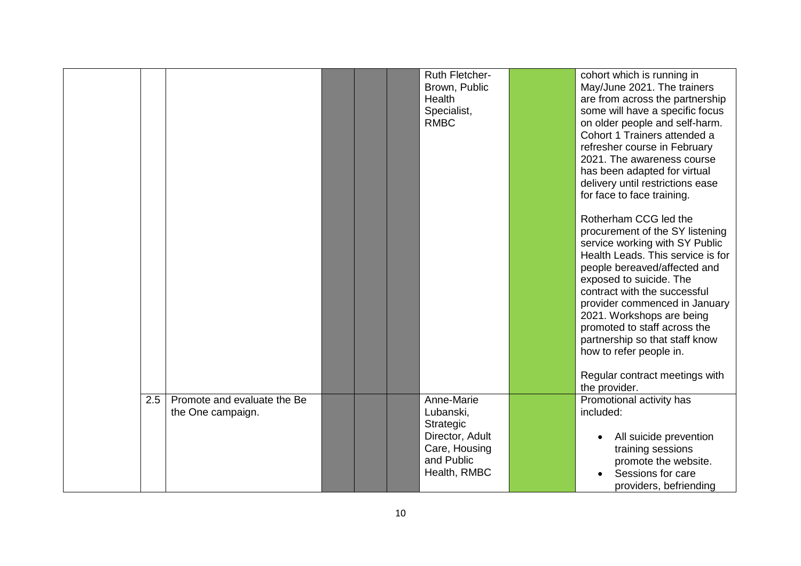|     |                                                  |  | Ruth Fletcher-<br>Brown, Public<br>Health<br>Specialist,<br><b>RMBC</b>                                | cohort which is running in<br>May/June 2021. The trainers<br>are from across the partnership<br>some will have a specific focus<br>on older people and self-harm.<br>Cohort 1 Trainers attended a<br>refresher course in February<br>2021. The awareness course<br>has been adapted for virtual<br>delivery until restrictions ease<br>for face to face training.<br>Rotherham CCG led the<br>procurement of the SY listening<br>service working with SY Public<br>Health Leads. This service is for<br>people bereaved/affected and<br>exposed to suicide. The<br>contract with the successful<br>provider commenced in January<br>2021. Workshops are being<br>promoted to staff across the<br>partnership so that staff know<br>how to refer people in.<br>Regular contract meetings with<br>the provider. |
|-----|--------------------------------------------------|--|--------------------------------------------------------------------------------------------------------|---------------------------------------------------------------------------------------------------------------------------------------------------------------------------------------------------------------------------------------------------------------------------------------------------------------------------------------------------------------------------------------------------------------------------------------------------------------------------------------------------------------------------------------------------------------------------------------------------------------------------------------------------------------------------------------------------------------------------------------------------------------------------------------------------------------|
| 2.5 | Promote and evaluate the Be<br>the One campaign. |  | Anne-Marie<br>Lubanski,<br>Strategic<br>Director, Adult<br>Care, Housing<br>and Public<br>Health, RMBC | Promotional activity has<br>included:<br>All suicide prevention<br>training sessions<br>promote the website.<br>Sessions for care<br>providers, befriending                                                                                                                                                                                                                                                                                                                                                                                                                                                                                                                                                                                                                                                   |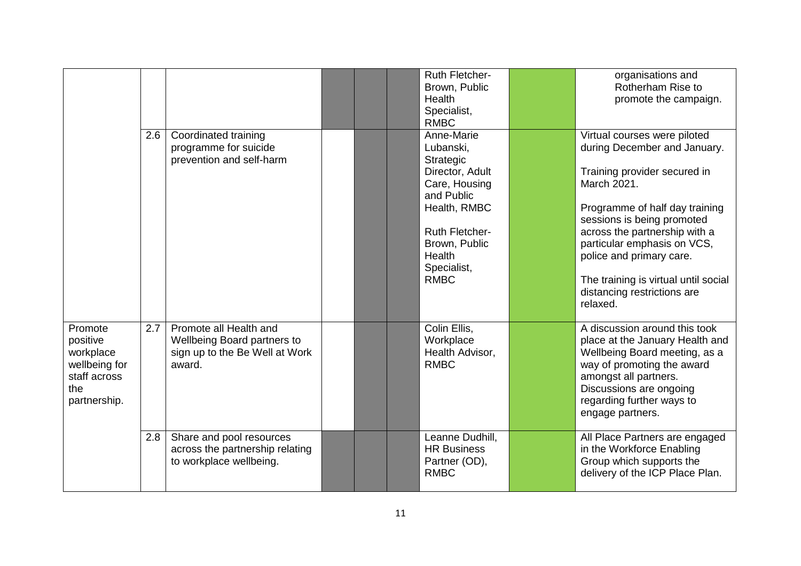|                                                                                          |     |                                                                                                   |  | <b>Ruth Fletcher-</b><br>Brown, Public<br>Health<br>Specialist,<br><b>RMBC</b>                                                                                                           | organisations and<br>Rotherham Rise to<br>promote the campaign.                                                                                                                                                                                                                                                                                            |
|------------------------------------------------------------------------------------------|-----|---------------------------------------------------------------------------------------------------|--|------------------------------------------------------------------------------------------------------------------------------------------------------------------------------------------|------------------------------------------------------------------------------------------------------------------------------------------------------------------------------------------------------------------------------------------------------------------------------------------------------------------------------------------------------------|
|                                                                                          | 2.6 | Coordinated training<br>programme for suicide<br>prevention and self-harm                         |  | Anne-Marie<br>Lubanski,<br>Strategic<br>Director, Adult<br>Care, Housing<br>and Public<br>Health, RMBC<br><b>Ruth Fletcher-</b><br>Brown, Public<br>Health<br>Specialist,<br><b>RMBC</b> | Virtual courses were piloted<br>during December and January.<br>Training provider secured in<br>March 2021.<br>Programme of half day training<br>sessions is being promoted<br>across the partnership with a<br>particular emphasis on VCS,<br>police and primary care.<br>The training is virtual until social<br>distancing restrictions are<br>relaxed. |
| Promote<br>positive<br>workplace<br>wellbeing for<br>staff across<br>the<br>partnership. | 2.7 | Promote all Health and<br>Wellbeing Board partners to<br>sign up to the Be Well at Work<br>award. |  | Colin Ellis,<br>Workplace<br>Health Advisor,<br><b>RMBC</b>                                                                                                                              | A discussion around this took<br>place at the January Health and<br>Wellbeing Board meeting, as a<br>way of promoting the award<br>amongst all partners.<br>Discussions are ongoing<br>regarding further ways to<br>engage partners.                                                                                                                       |
|                                                                                          | 2.8 | Share and pool resources<br>across the partnership relating<br>to workplace wellbeing.            |  | Leanne Dudhill,<br><b>HR Business</b><br>Partner (OD),<br><b>RMBC</b>                                                                                                                    | All Place Partners are engaged<br>in the Workforce Enabling<br>Group which supports the<br>delivery of the ICP Place Plan.                                                                                                                                                                                                                                 |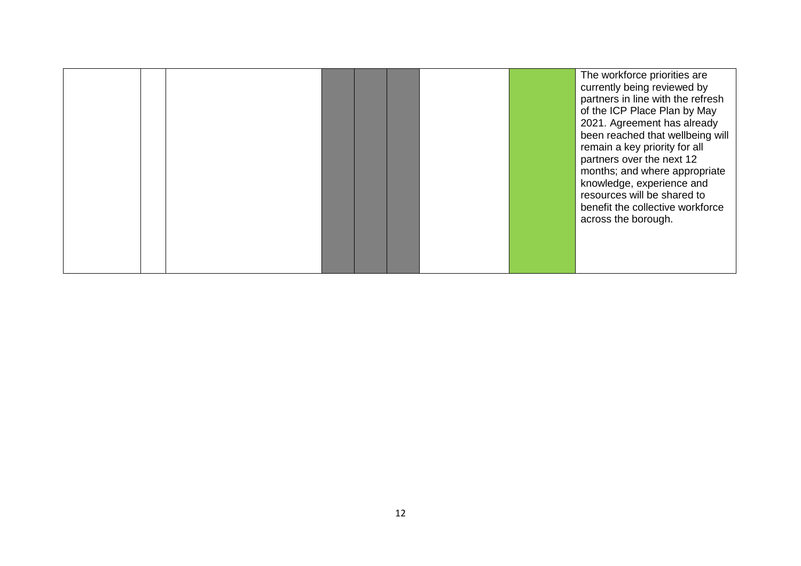|  |  |  |  |  |  |  |  | The workforce priorities are<br>currently being reviewed by<br>partners in line with the refresh<br>of the ICP Place Plan by May<br>2021. Agreement has already<br>been reached that wellbeing will<br>remain a key priority for all<br>partners over the next 12<br>months; and where appropriate<br>knowledge, experience and<br>resources will be shared to<br>benefit the collective workforce<br>across the borough. |
|--|--|--|--|--|--|--|--|---------------------------------------------------------------------------------------------------------------------------------------------------------------------------------------------------------------------------------------------------------------------------------------------------------------------------------------------------------------------------------------------------------------------------|
|--|--|--|--|--|--|--|--|---------------------------------------------------------------------------------------------------------------------------------------------------------------------------------------------------------------------------------------------------------------------------------------------------------------------------------------------------------------------------------------------------------------------------|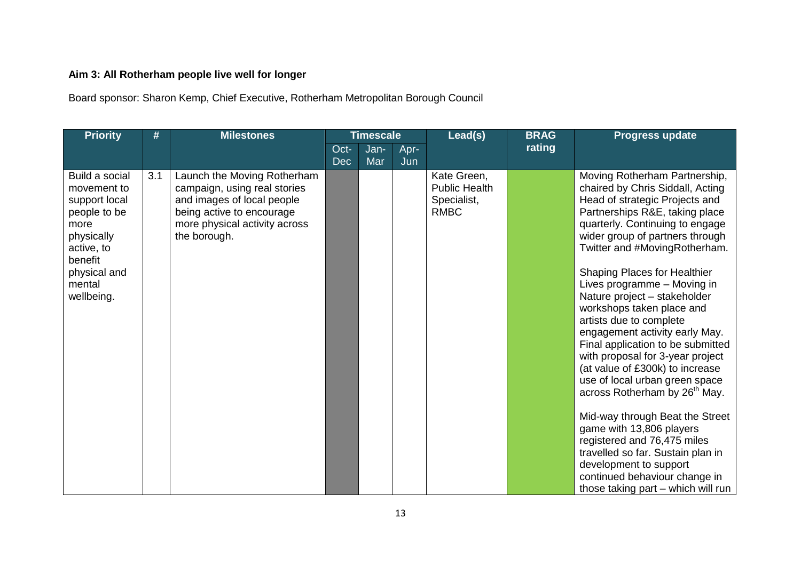# **Aim 3: All Rotherham people live well for longer**

Board sponsor: Sharon Kemp, Chief Executive, Rotherham Metropolitan Borough Council

| <b>Priority</b>                                                                                                                                       | #   | <b>Milestones</b>                                                                                                                                                       | <b>Timescale</b>   |             | Lead(s)     | <b>BRAG</b>                                                       | <b>Progress update</b> |                                                                                                                                                                                                                                                                                                                                                                                                                                                                                                                                                                                                                                                                                                                                                                                                                                                                             |
|-------------------------------------------------------------------------------------------------------------------------------------------------------|-----|-------------------------------------------------------------------------------------------------------------------------------------------------------------------------|--------------------|-------------|-------------|-------------------------------------------------------------------|------------------------|-----------------------------------------------------------------------------------------------------------------------------------------------------------------------------------------------------------------------------------------------------------------------------------------------------------------------------------------------------------------------------------------------------------------------------------------------------------------------------------------------------------------------------------------------------------------------------------------------------------------------------------------------------------------------------------------------------------------------------------------------------------------------------------------------------------------------------------------------------------------------------|
|                                                                                                                                                       |     |                                                                                                                                                                         | Oct-<br><b>Dec</b> | Jan-<br>Mar | Apr-<br>Jun |                                                                   | rating                 |                                                                                                                                                                                                                                                                                                                                                                                                                                                                                                                                                                                                                                                                                                                                                                                                                                                                             |
| Build a social<br>movement to<br>support local<br>people to be<br>more<br>physically<br>active, to<br>benefit<br>physical and<br>mental<br>wellbeing. | 3.1 | Launch the Moving Rotherham<br>campaign, using real stories<br>and images of local people<br>being active to encourage<br>more physical activity across<br>the borough. |                    |             |             | Kate Green,<br><b>Public Health</b><br>Specialist,<br><b>RMBC</b> |                        | Moving Rotherham Partnership,<br>chaired by Chris Siddall, Acting<br>Head of strategic Projects and<br>Partnerships R&E, taking place<br>quarterly. Continuing to engage<br>wider group of partners through<br>Twitter and #MovingRotherham.<br><b>Shaping Places for Healthier</b><br>Lives programme - Moving in<br>Nature project - stakeholder<br>workshops taken place and<br>artists due to complete<br>engagement activity early May.<br>Final application to be submitted<br>with proposal for 3-year project<br>(at value of £300k) to increase<br>use of local urban green space<br>across Rotherham by 26 <sup>th</sup> May.<br>Mid-way through Beat the Street<br>game with 13,806 players<br>registered and 76,475 miles<br>travelled so far. Sustain plan in<br>development to support<br>continued behaviour change in<br>those taking part - which will run |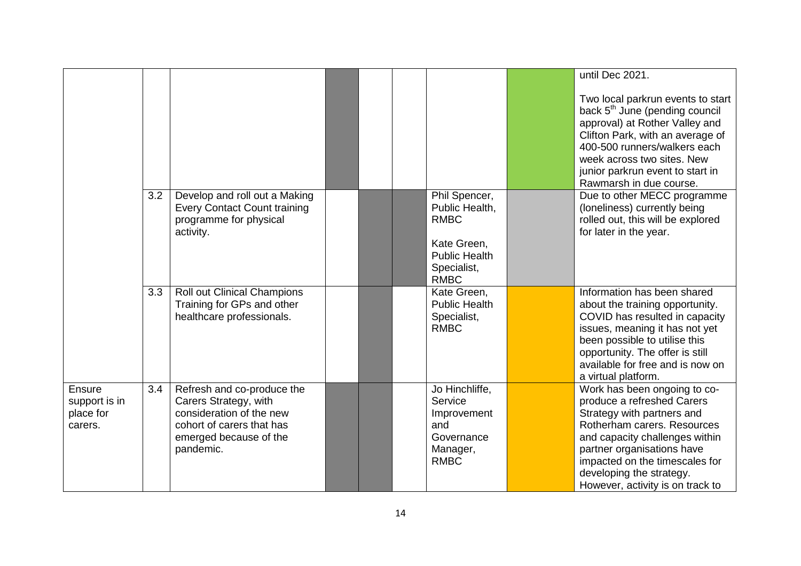|                                                        |     |                                                                                                                                                     |  |                                                                                                                     | until Dec 2021.                                                                                                                                                                                                                                                                           |
|--------------------------------------------------------|-----|-----------------------------------------------------------------------------------------------------------------------------------------------------|--|---------------------------------------------------------------------------------------------------------------------|-------------------------------------------------------------------------------------------------------------------------------------------------------------------------------------------------------------------------------------------------------------------------------------------|
|                                                        |     |                                                                                                                                                     |  |                                                                                                                     | Two local parkrun events to start<br>back 5 <sup>th</sup> June (pending council<br>approval) at Rother Valley and<br>Clifton Park, with an average of<br>400-500 runners/walkers each<br>week across two sites. New<br>junior parkrun event to start in<br>Rawmarsh in due course.        |
|                                                        | 3.2 | Develop and roll out a Making<br><b>Every Contact Count training</b><br>programme for physical<br>activity.                                         |  | Phil Spencer,<br>Public Health,<br><b>RMBC</b><br>Kate Green,<br><b>Public Health</b><br>Specialist,<br><b>RMBC</b> | Due to other MECC programme<br>(loneliness) currently being<br>rolled out, this will be explored<br>for later in the year.                                                                                                                                                                |
|                                                        | 3.3 | Roll out Clinical Champions<br>Training for GPs and other<br>healthcare professionals.                                                              |  | Kate Green,<br><b>Public Health</b><br>Specialist,<br><b>RMBC</b>                                                   | Information has been shared<br>about the training opportunity.<br>COVID has resulted in capacity<br>issues, meaning it has not yet<br>been possible to utilise this<br>opportunity. The offer is still<br>available for free and is now on<br>a virtual platform.                         |
| <b>Ensure</b><br>support is in<br>place for<br>carers. | 3.4 | Refresh and co-produce the<br>Carers Strategy, with<br>consideration of the new<br>cohort of carers that has<br>emerged because of the<br>pandemic. |  | Jo Hinchliffe,<br>Service<br>Improvement<br>and<br>Governance<br>Manager,<br><b>RMBC</b>                            | Work has been ongoing to co-<br>produce a refreshed Carers<br>Strategy with partners and<br>Rotherham carers. Resources<br>and capacity challenges within<br>partner organisations have<br>impacted on the timescales for<br>developing the strategy.<br>However, activity is on track to |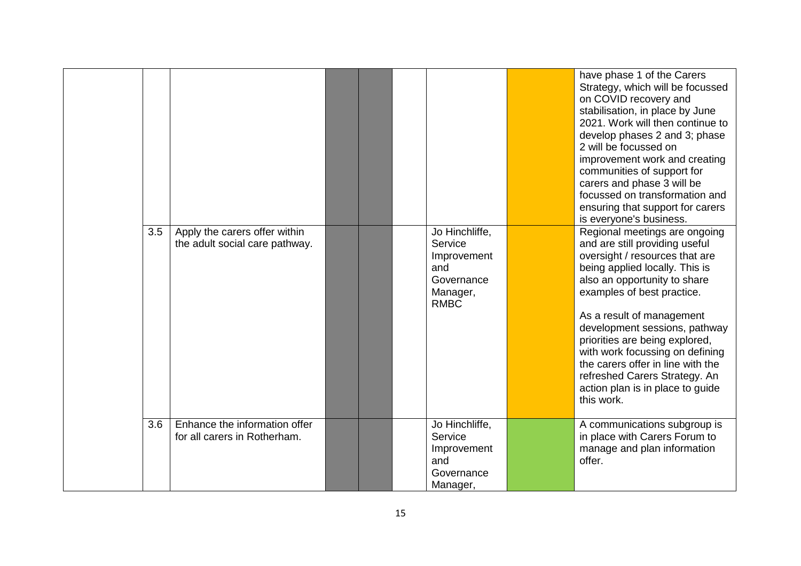|     |                                                                 |  |                                                                                          | have phase 1 of the Carers<br>Strategy, which will be focussed<br>on COVID recovery and<br>stabilisation, in place by June<br>2021. Work will then continue to<br>develop phases 2 and 3; phase<br>2 will be focussed on<br>improvement work and creating<br>communities of support for<br>carers and phase 3 will be<br>focussed on transformation and<br>ensuring that support for carers<br>is everyone's business.                                       |
|-----|-----------------------------------------------------------------|--|------------------------------------------------------------------------------------------|--------------------------------------------------------------------------------------------------------------------------------------------------------------------------------------------------------------------------------------------------------------------------------------------------------------------------------------------------------------------------------------------------------------------------------------------------------------|
| 3.5 | Apply the carers offer within<br>the adult social care pathway. |  | Jo Hinchliffe,<br>Service<br>Improvement<br>and<br>Governance<br>Manager,<br><b>RMBC</b> | Regional meetings are ongoing<br>and are still providing useful<br>oversight / resources that are<br>being applied locally. This is<br>also an opportunity to share<br>examples of best practice.<br>As a result of management<br>development sessions, pathway<br>priorities are being explored,<br>with work focussing on defining<br>the carers offer in line with the<br>refreshed Carers Strategy. An<br>action plan is in place to guide<br>this work. |
| 3.6 | Enhance the information offer<br>for all carers in Rotherham.   |  | Jo Hinchliffe,<br>Service<br>Improvement<br>and<br>Governance<br>Manager,                | A communications subgroup is<br>in place with Carers Forum to<br>manage and plan information<br>offer.                                                                                                                                                                                                                                                                                                                                                       |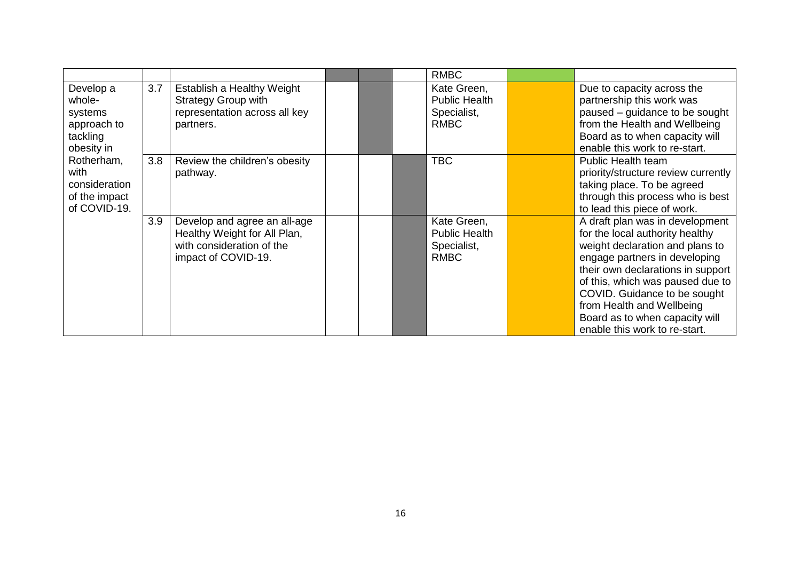|                                                                         |     |                                                                                                                  |  | <b>RMBC</b>                                                       |                                                                                                                                                                                                                                                                                                                                                 |
|-------------------------------------------------------------------------|-----|------------------------------------------------------------------------------------------------------------------|--|-------------------------------------------------------------------|-------------------------------------------------------------------------------------------------------------------------------------------------------------------------------------------------------------------------------------------------------------------------------------------------------------------------------------------------|
| Develop a<br>whole-<br>systems<br>approach to<br>tackling<br>obesity in | 3.7 | Establish a Healthy Weight<br><b>Strategy Group with</b><br>representation across all key<br>partners.           |  | Kate Green,<br><b>Public Health</b><br>Specialist,<br><b>RMBC</b> | Due to capacity across the<br>partnership this work was<br>paused - guidance to be sought<br>from the Health and Wellbeing<br>Board as to when capacity will<br>enable this work to re-start.                                                                                                                                                   |
| Rotherham,<br>with<br>consideration<br>of the impact<br>of COVID-19.    | 3.8 | Review the children's obesity<br>pathway.                                                                        |  | <b>TBC</b>                                                        | Public Health team<br>priority/structure review currently<br>taking place. To be agreed<br>through this process who is best<br>to lead this piece of work.                                                                                                                                                                                      |
|                                                                         | 3.9 | Develop and agree an all-age<br>Healthy Weight for All Plan,<br>with consideration of the<br>impact of COVID-19. |  | Kate Green,<br><b>Public Health</b><br>Specialist,<br><b>RMBC</b> | A draft plan was in development<br>for the local authority healthy<br>weight declaration and plans to<br>engage partners in developing<br>their own declarations in support<br>of this, which was paused due to<br>COVID. Guidance to be sought<br>from Health and Wellbeing<br>Board as to when capacity will<br>enable this work to re-start. |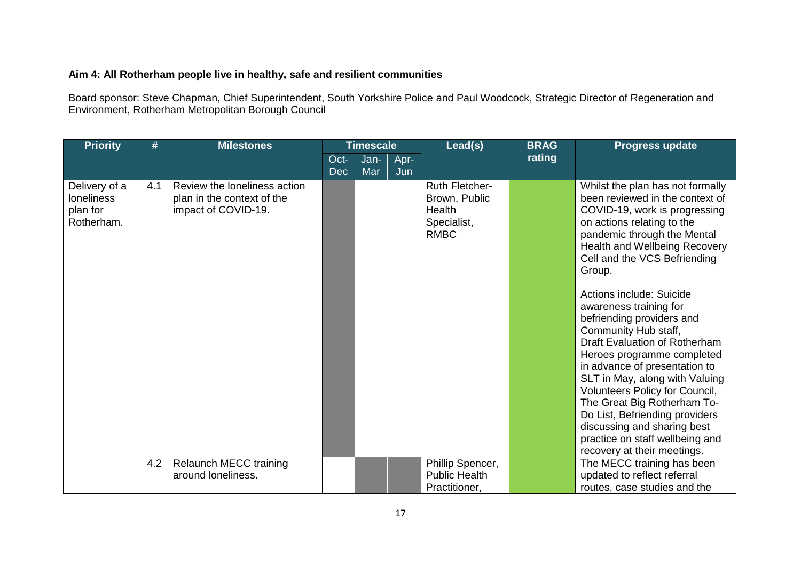#### **Aim 4: All Rotherham people live in healthy, safe and resilient communities**

Board sponsor: Steve Chapman, Chief Superintendent, South Yorkshire Police and Paul Woodcock, Strategic Director of Regeneration and Environment, Rotherham Metropolitan Borough Council

| <b>Priority</b>                                              | #   | <b>Milestones</b>                                                                 |                    | <b>Timescale</b> |             | Lead(s)                                                                        | <b>BRAG</b> | <b>Progress update</b>                                                                                                                                                                                                                                                                                                                                                                                                                                                                                                                                                                                                                                                                        |
|--------------------------------------------------------------|-----|-----------------------------------------------------------------------------------|--------------------|------------------|-------------|--------------------------------------------------------------------------------|-------------|-----------------------------------------------------------------------------------------------------------------------------------------------------------------------------------------------------------------------------------------------------------------------------------------------------------------------------------------------------------------------------------------------------------------------------------------------------------------------------------------------------------------------------------------------------------------------------------------------------------------------------------------------------------------------------------------------|
|                                                              |     |                                                                                   | Oct-<br><b>Dec</b> | Jan-<br>Mar      | Apr-<br>Jun |                                                                                | rating      |                                                                                                                                                                                                                                                                                                                                                                                                                                                                                                                                                                                                                                                                                               |
| Delivery of a<br><b>loneliness</b><br>plan for<br>Rotherham. | 4.1 | Review the loneliness action<br>plan in the context of the<br>impact of COVID-19. |                    |                  |             | <b>Ruth Fletcher-</b><br>Brown, Public<br>Health<br>Specialist,<br><b>RMBC</b> |             | Whilst the plan has not formally<br>been reviewed in the context of<br>COVID-19, work is progressing<br>on actions relating to the<br>pandemic through the Mental<br>Health and Wellbeing Recovery<br>Cell and the VCS Befriending<br>Group.<br>Actions include: Suicide<br>awareness training for<br>befriending providers and<br>Community Hub staff,<br>Draft Evaluation of Rotherham<br>Heroes programme completed<br>in advance of presentation to<br>SLT in May, along with Valuing<br>Volunteers Policy for Council,<br>The Great Big Rotherham To-<br>Do List, Befriending providers<br>discussing and sharing best<br>practice on staff wellbeing and<br>recovery at their meetings. |
|                                                              | 4.2 | <b>Relaunch MECC training</b><br>around loneliness.                               |                    |                  |             | Phillip Spencer,<br><b>Public Health</b><br>Practitioner,                      |             | The MECC training has been<br>updated to reflect referral<br>routes, case studies and the                                                                                                                                                                                                                                                                                                                                                                                                                                                                                                                                                                                                     |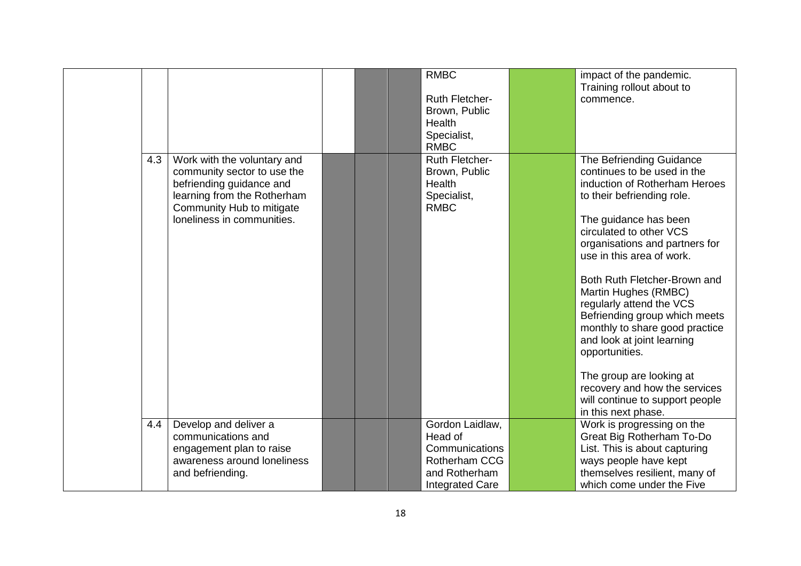|     |                             |  | <b>RMBC</b>            | impact of the pandemic.         |
|-----|-----------------------------|--|------------------------|---------------------------------|
|     |                             |  |                        | Training rollout about to       |
|     |                             |  | <b>Ruth Fletcher-</b>  | commence.                       |
|     |                             |  | Brown, Public          |                                 |
|     |                             |  | Health                 |                                 |
|     |                             |  | Specialist,            |                                 |
|     |                             |  | <b>RMBC</b>            |                                 |
| 4.3 | Work with the voluntary and |  | Ruth Fletcher-         | The Befriending Guidance        |
|     | community sector to use the |  | Brown, Public          | continues to be used in the     |
|     | befriending guidance and    |  | <b>Health</b>          | induction of Rotherham Heroes   |
|     | learning from the Rotherham |  | Specialist,            | to their befriending role.      |
|     | Community Hub to mitigate   |  | <b>RMBC</b>            |                                 |
|     | loneliness in communities.  |  |                        | The guidance has been           |
|     |                             |  |                        | circulated to other VCS         |
|     |                             |  |                        | organisations and partners for  |
|     |                             |  |                        | use in this area of work.       |
|     |                             |  |                        |                                 |
|     |                             |  |                        | Both Ruth Fletcher-Brown and    |
|     |                             |  |                        | Martin Hughes (RMBC)            |
|     |                             |  |                        | regularly attend the VCS        |
|     |                             |  |                        | Befriending group which meets   |
|     |                             |  |                        |                                 |
|     |                             |  |                        | monthly to share good practice  |
|     |                             |  |                        | and look at joint learning      |
|     |                             |  |                        | opportunities.                  |
|     |                             |  |                        |                                 |
|     |                             |  |                        | The group are looking at        |
|     |                             |  |                        | recovery and how the services   |
|     |                             |  |                        | will continue to support people |
|     |                             |  |                        | in this next phase.             |
| 4.4 | Develop and deliver a       |  | Gordon Laidlaw,        | Work is progressing on the      |
|     | communications and          |  | Head of                | Great Big Rotherham To-Do       |
|     | engagement plan to raise    |  | Communications         | List. This is about capturing   |
|     | awareness around loneliness |  | Rotherham CCG          | ways people have kept           |
|     | and befriending.            |  | and Rotherham          | themselves resilient, many of   |
|     |                             |  | <b>Integrated Care</b> | which come under the Five       |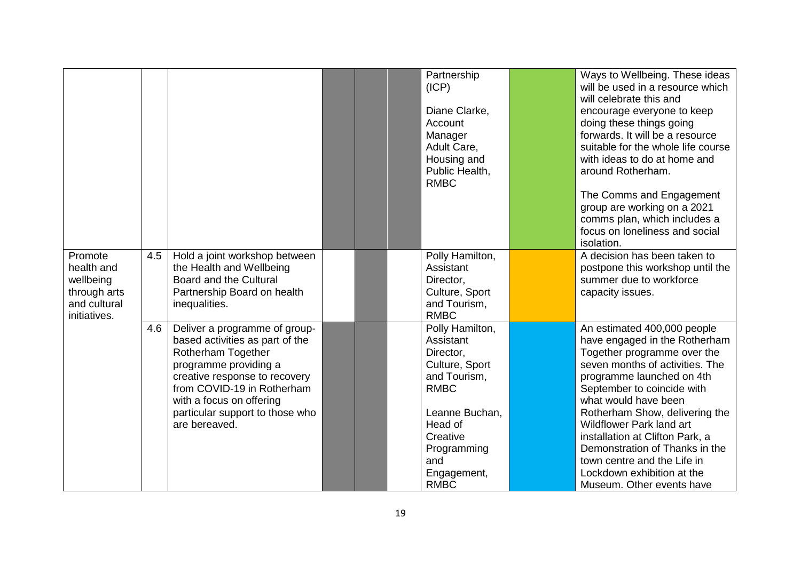|                                                                                    |     |                                                                                                                                                                                                                                                                |  | Partnership<br>(ICP)<br>Diane Clarke,<br>Account<br>Manager<br>Adult Care,<br>Housing and<br>Public Health,<br><b>RMBC</b>                                                              | Ways to Wellbeing. These ideas<br>will be used in a resource which<br>will celebrate this and<br>encourage everyone to keep<br>doing these things going<br>forwards. It will be a resource<br>suitable for the whole life course<br>with ideas to do at home and<br>around Rotherham.<br>The Comms and Engagement<br>group are working on a 2021<br>comms plan, which includes a<br>focus on loneliness and social<br>isolation.                      |
|------------------------------------------------------------------------------------|-----|----------------------------------------------------------------------------------------------------------------------------------------------------------------------------------------------------------------------------------------------------------------|--|-----------------------------------------------------------------------------------------------------------------------------------------------------------------------------------------|-------------------------------------------------------------------------------------------------------------------------------------------------------------------------------------------------------------------------------------------------------------------------------------------------------------------------------------------------------------------------------------------------------------------------------------------------------|
| Promote<br>health and<br>wellbeing<br>through arts<br>and cultural<br>initiatives. | 4.5 | Hold a joint workshop between<br>the Health and Wellbeing<br>Board and the Cultural<br>Partnership Board on health<br>inequalities.                                                                                                                            |  | Polly Hamilton,<br>Assistant<br>Director,<br>Culture, Sport<br>and Tourism,<br><b>RMBC</b>                                                                                              | A decision has been taken to<br>postpone this workshop until the<br>summer due to workforce<br>capacity issues.                                                                                                                                                                                                                                                                                                                                       |
|                                                                                    | 4.6 | Deliver a programme of group-<br>based activities as part of the<br>Rotherham Together<br>programme providing a<br>creative response to recovery<br>from COVID-19 in Rotherham<br>with a focus on offering<br>particular support to those who<br>are bereaved. |  | Polly Hamilton,<br>Assistant<br>Director,<br>Culture, Sport<br>and Tourism,<br><b>RMBC</b><br>Leanne Buchan,<br>Head of<br>Creative<br>Programming<br>and<br>Engagement,<br><b>RMBC</b> | An estimated 400,000 people<br>have engaged in the Rotherham<br>Together programme over the<br>seven months of activities. The<br>programme launched on 4th<br>September to coincide with<br>what would have been<br>Rotherham Show, delivering the<br><b>Wildflower Park land art</b><br>installation at Clifton Park, a<br>Demonstration of Thanks in the<br>town centre and the Life in<br>Lockdown exhibition at the<br>Museum. Other events have |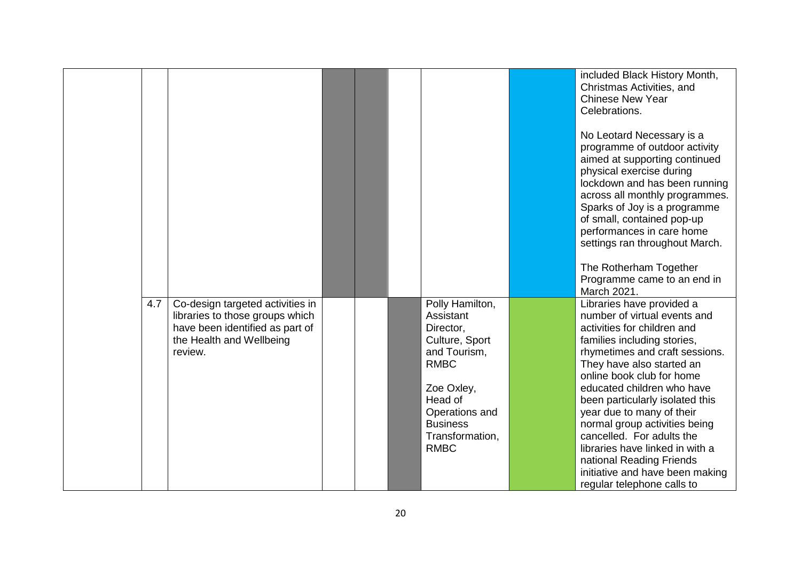|     |                                                                                                                                               |  |                                                                                                                                                                                            | included Black History Month,<br>Christmas Activities, and<br>Chinese New Year<br>Celebrations.<br>No Leotard Necessary is a<br>programme of outdoor activity<br>aimed at supporting continued<br>physical exercise during<br>lockdown and has been running<br>across all monthly programmes.<br>Sparks of Joy is a programme<br>of small, contained pop-up<br>performances in care home<br>settings ran throughout March.<br>The Rotherham Together<br>Programme came to an end in                                            |
|-----|-----------------------------------------------------------------------------------------------------------------------------------------------|--|--------------------------------------------------------------------------------------------------------------------------------------------------------------------------------------------|--------------------------------------------------------------------------------------------------------------------------------------------------------------------------------------------------------------------------------------------------------------------------------------------------------------------------------------------------------------------------------------------------------------------------------------------------------------------------------------------------------------------------------|
| 4.7 | Co-design targeted activities in<br>libraries to those groups which<br>have been identified as part of<br>the Health and Wellbeing<br>review. |  | Polly Hamilton,<br>Assistant<br>Director,<br>Culture, Sport<br>and Tourism,<br><b>RMBC</b><br>Zoe Oxley,<br>Head of<br>Operations and<br><b>Business</b><br>Transformation,<br><b>RMBC</b> | March 2021.<br>Libraries have provided a<br>number of virtual events and<br>activities for children and<br>families including stories,<br>rhymetimes and craft sessions.<br>They have also started an<br>online book club for home<br>educated children who have<br>been particularly isolated this<br>year due to many of their<br>normal group activities being<br>cancelled. For adults the<br>libraries have linked in with a<br>national Reading Friends<br>initiative and have been making<br>regular telephone calls to |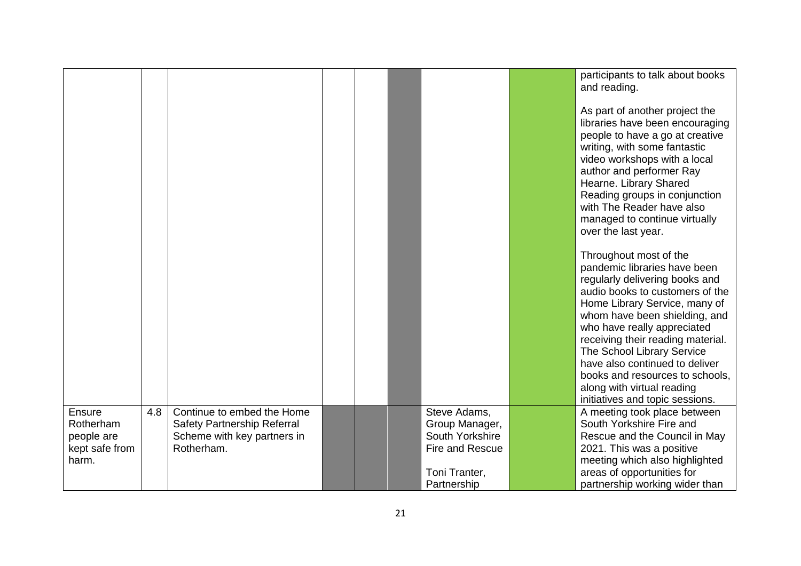|                |     |                             |  |                 | participants to talk about books<br>and reading.<br>As part of another project the<br>libraries have been encouraging<br>people to have a go at creative<br>writing, with some fantastic<br>video workshops with a local<br>author and performer Ray<br>Hearne. Library Shared<br>Reading groups in conjunction<br>with The Reader have also<br>managed to continue virtually<br>over the last year.<br>Throughout most of the<br>pandemic libraries have been<br>regularly delivering books and<br>audio books to customers of the<br>Home Library Service, many of<br>whom have been shielding, and<br>who have really appreciated<br>receiving their reading material.<br>The School Library Service<br>have also continued to deliver<br>books and resources to schools,<br>along with virtual reading<br>initiatives and topic sessions. |
|----------------|-----|-----------------------------|--|-----------------|-----------------------------------------------------------------------------------------------------------------------------------------------------------------------------------------------------------------------------------------------------------------------------------------------------------------------------------------------------------------------------------------------------------------------------------------------------------------------------------------------------------------------------------------------------------------------------------------------------------------------------------------------------------------------------------------------------------------------------------------------------------------------------------------------------------------------------------------------|
| Ensure         | 4.8 | Continue to embed the Home  |  | Steve Adams,    | A meeting took place between                                                                                                                                                                                                                                                                                                                                                                                                                                                                                                                                                                                                                                                                                                                                                                                                                  |
| Rotherham      |     | Safety Partnership Referral |  | Group Manager,  | South Yorkshire Fire and                                                                                                                                                                                                                                                                                                                                                                                                                                                                                                                                                                                                                                                                                                                                                                                                                      |
| people are     |     | Scheme with key partners in |  | South Yorkshire | Rescue and the Council in May                                                                                                                                                                                                                                                                                                                                                                                                                                                                                                                                                                                                                                                                                                                                                                                                                 |
| kept safe from |     | Rotherham.                  |  | Fire and Rescue | 2021. This was a positive                                                                                                                                                                                                                                                                                                                                                                                                                                                                                                                                                                                                                                                                                                                                                                                                                     |
| harm.          |     |                             |  | Toni Tranter,   | meeting which also highlighted                                                                                                                                                                                                                                                                                                                                                                                                                                                                                                                                                                                                                                                                                                                                                                                                                |
|                |     |                             |  | Partnership     | areas of opportunities for                                                                                                                                                                                                                                                                                                                                                                                                                                                                                                                                                                                                                                                                                                                                                                                                                    |
|                |     |                             |  |                 | partnership working wider than                                                                                                                                                                                                                                                                                                                                                                                                                                                                                                                                                                                                                                                                                                                                                                                                                |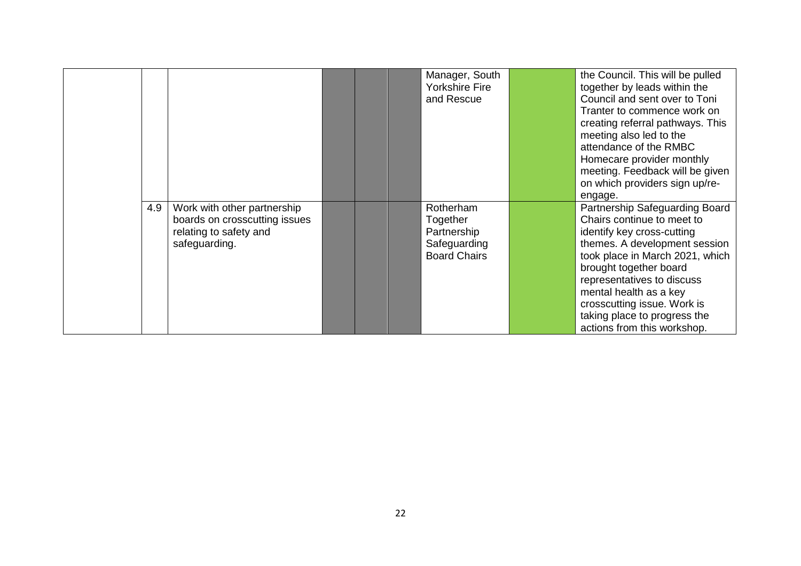|     |                                                                                                         |  | Manager, South<br><b>Yorkshire Fire</b><br>and Rescue                       | the Council. This will be pulled<br>together by leads within the<br>Council and sent over to Toni<br>Tranter to commence work on<br>creating referral pathways. This<br>meeting also led to the<br>attendance of the RMBC<br>Homecare provider monthly<br>meeting. Feedback will be given<br>on which providers sign up/re-<br>engage.         |
|-----|---------------------------------------------------------------------------------------------------------|--|-----------------------------------------------------------------------------|------------------------------------------------------------------------------------------------------------------------------------------------------------------------------------------------------------------------------------------------------------------------------------------------------------------------------------------------|
| 4.9 | Work with other partnership<br>boards on crosscutting issues<br>relating to safety and<br>safeguarding. |  | Rotherham<br>Together<br>Partnership<br>Safeguarding<br><b>Board Chairs</b> | Partnership Safeguarding Board<br>Chairs continue to meet to<br>identify key cross-cutting<br>themes. A development session<br>took place in March 2021, which<br>brought together board<br>representatives to discuss<br>mental health as a key<br>crosscutting issue. Work is<br>taking place to progress the<br>actions from this workshop. |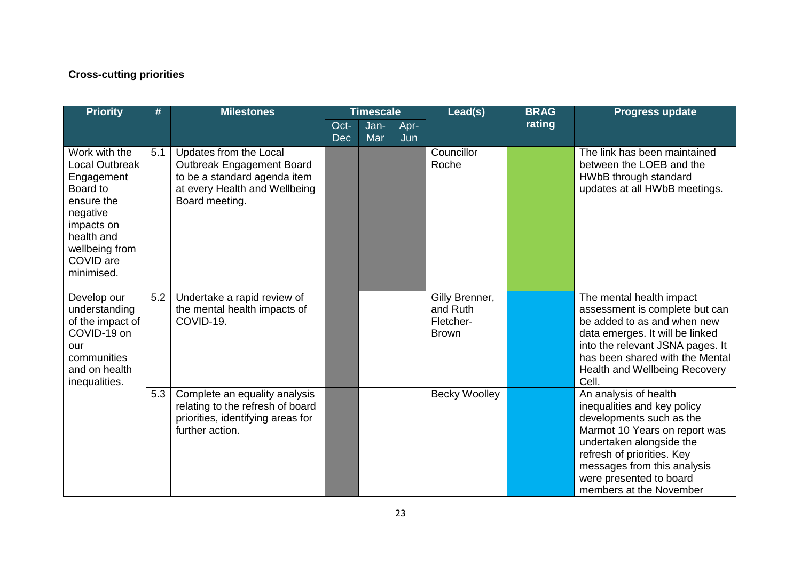# **Cross-cutting priorities**

| <b>Priority</b>                                                                                                                                              | #   | <b>Milestones</b>                                                                                                                      |                    | <b>Timescale</b> |             | Lead(s)                                                 | <b>BRAG</b> | <b>Progress update</b>                                                                                                                                                                                                                                           |
|--------------------------------------------------------------------------------------------------------------------------------------------------------------|-----|----------------------------------------------------------------------------------------------------------------------------------------|--------------------|------------------|-------------|---------------------------------------------------------|-------------|------------------------------------------------------------------------------------------------------------------------------------------------------------------------------------------------------------------------------------------------------------------|
|                                                                                                                                                              |     |                                                                                                                                        | Oct-<br><b>Dec</b> | Jan-<br>Mar      | Apr-<br>Jun |                                                         | rating      |                                                                                                                                                                                                                                                                  |
| Work with the<br>Local Outbreak<br>Engagement<br>Board to<br>ensure the<br>negative<br>impacts on<br>health and<br>wellbeing from<br>COVID are<br>minimised. | 5.1 | Updates from the Local<br>Outbreak Engagement Board<br>to be a standard agenda item<br>at every Health and Wellbeing<br>Board meeting. |                    |                  |             | Councillor<br>Roche                                     |             | The link has been maintained<br>between the LOEB and the<br>HWbB through standard<br>updates at all HWbB meetings.                                                                                                                                               |
| Develop our<br>understanding<br>of the impact of<br>COVID-19 on<br>our<br>communities<br>and on health<br>inequalities.                                      | 5.2 | Undertake a rapid review of<br>the mental health impacts of<br>COVID-19.                                                               |                    |                  |             | Gilly Brenner,<br>and Ruth<br>Fletcher-<br><b>Brown</b> |             | The mental health impact<br>assessment is complete but can<br>be added to as and when new<br>data emerges. It will be linked<br>into the relevant JSNA pages. It<br>has been shared with the Mental<br>Health and Wellbeing Recovery<br>Cell.                    |
|                                                                                                                                                              | 5.3 | Complete an equality analysis<br>relating to the refresh of board<br>priorities, identifying areas for<br>further action.              |                    |                  |             | <b>Becky Woolley</b>                                    |             | An analysis of health<br>inequalities and key policy<br>developments such as the<br>Marmot 10 Years on report was<br>undertaken alongside the<br>refresh of priorities. Key<br>messages from this analysis<br>were presented to board<br>members at the November |